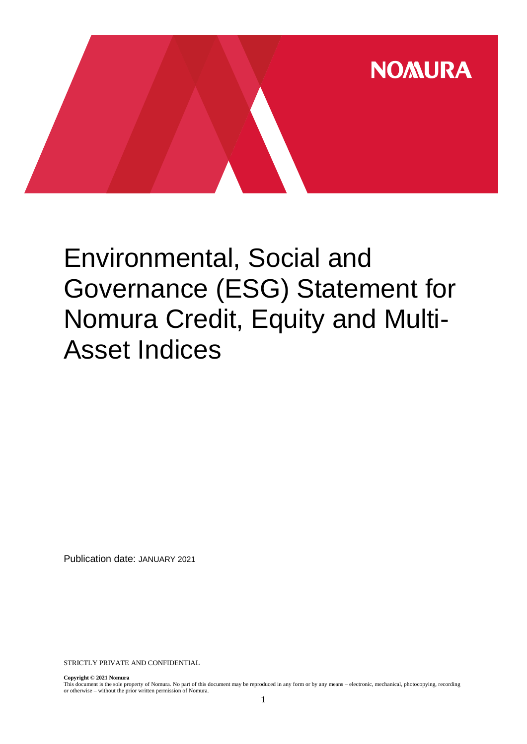

# Environmental, Social and Governance (ESG) Statement for Nomura Credit, Equity and Multi-Asset Indices

Publication date: JANUARY 2021

STRICTLY PRIVATE AND CONFIDENTIAL

**Copyright © 2021 Nomura**

This document is the sole property of Nomura. No part of this document may be reproduced in any form or by any means – electronic, mechanical, photocopying, recording or otherwise – without the prior written permission of Nomura.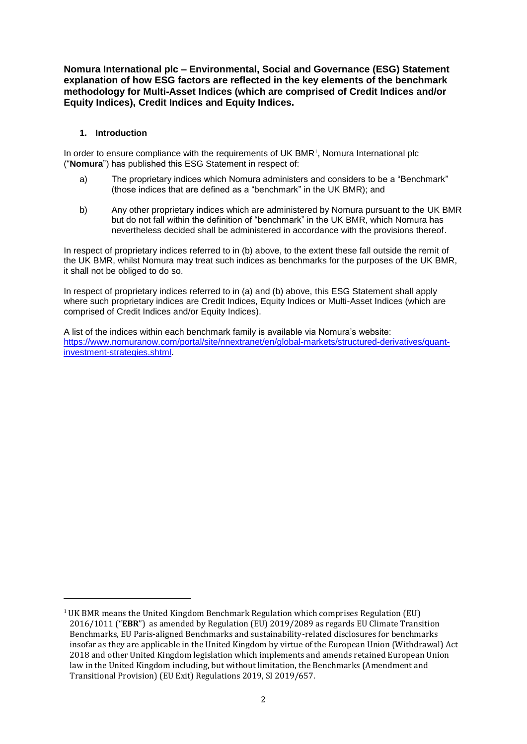**Nomura International plc – Environmental, Social and Governance (ESG) Statement explanation of how ESG factors are reflected in the key elements of the benchmark methodology for Multi-Asset Indices (which are comprised of Credit Indices and/or Equity Indices), Credit Indices and Equity Indices.**

#### **1. Introduction**

-

In order to ensure compliance with the requirements of UK BMR $<sup>1</sup>$ , Nomura International plc</sup> ("**Nomura**") has published this ESG Statement in respect of:

- a) The proprietary indices which Nomura administers and considers to be a "Benchmark" (those indices that are defined as a "benchmark" in the UK BMR); and
- b) Any other proprietary indices which are administered by Nomura pursuant to the UK BMR but do not fall within the definition of "benchmark" in the UK BMR, which Nomura has nevertheless decided shall be administered in accordance with the provisions thereof.

In respect of proprietary indices referred to in (b) above, to the extent these fall outside the remit of the UK BMR, whilst Nomura may treat such indices as benchmarks for the purposes of the UK BMR, it shall not be obliged to do so.

In respect of proprietary indices referred to in (a) and (b) above, this ESG Statement shall apply where such proprietary indices are Credit Indices, Equity Indices or Multi-Asset Indices (which are comprised of Credit Indices and/or Equity Indices).

A list of the indices within each benchmark family is available via Nomura's website: [https://www.nomuranow.com/portal/site/nnextranet/en/global-markets/structured-derivatives/quant](https://www.nomuranow.com/portal/site/nnextranet/en/global-markets/structured-derivatives/quant-investment-strategies.shtml)[investment-strategies.shtml.](https://www.nomuranow.com/portal/site/nnextranet/en/global-markets/structured-derivatives/quant-investment-strategies.shtml)

<sup>&</sup>lt;sup>1</sup> UK BMR means the United Kingdom Benchmark Regulation which comprises Regulation (EU) 2016/1011 ("**EBR**") as amended by Regulation (EU) 2019/2089 as regards EU Climate Transition Benchmarks, EU Paris-aligned Benchmarks and sustainability-related disclosures for benchmarks insofar as they are applicable in the United Kingdom by virtue of the European Union (Withdrawal) Act 2018 and other United Kingdom legislation which implements and amends retained European Union law in the United Kingdom including, but without limitation, the Benchmarks (Amendment and Transitional Provision) (EU Exit) Regulations 2019, SI 2019/657.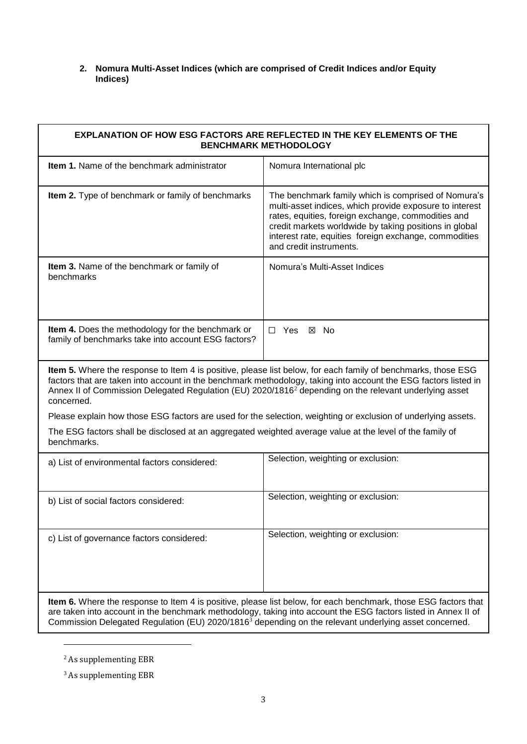#### **2. Nomura Multi-Asset Indices (which are comprised of Credit Indices and/or Equity Indices)**

| <b>EXPLANATION OF HOW ESG FACTORS ARE REFLECTED IN THE KEY ELEMENTS OF THE</b><br><b>BENCHMARK METHODOLOGY</b>                                                                                                                                                                                                                                                       |                                                                                                                                                                                                                                                                                                                    |  |
|----------------------------------------------------------------------------------------------------------------------------------------------------------------------------------------------------------------------------------------------------------------------------------------------------------------------------------------------------------------------|--------------------------------------------------------------------------------------------------------------------------------------------------------------------------------------------------------------------------------------------------------------------------------------------------------------------|--|
| <b>Item 1.</b> Name of the benchmark administrator                                                                                                                                                                                                                                                                                                                   | Nomura International plc                                                                                                                                                                                                                                                                                           |  |
| Item 2. Type of benchmark or family of benchmarks                                                                                                                                                                                                                                                                                                                    | The benchmark family which is comprised of Nomura's<br>multi-asset indices, which provide exposure to interest<br>rates, equities, foreign exchange, commodities and<br>credit markets worldwide by taking positions in global<br>interest rate, equities foreign exchange, commodities<br>and credit instruments. |  |
| Item 3. Name of the benchmark or family of<br>benchmarks                                                                                                                                                                                                                                                                                                             | Nomura's Multi-Asset Indices                                                                                                                                                                                                                                                                                       |  |
| Item 4. Does the methodology for the benchmark or<br>family of benchmarks take into account ESG factors?                                                                                                                                                                                                                                                             | $\Box$ Yes<br>⊠ No                                                                                                                                                                                                                                                                                                 |  |
| Item 5. Where the response to Item 4 is positive, please list below, for each family of benchmarks, those ESG<br>factors that are taken into account in the benchmark methodology, taking into account the ESG factors listed in<br>Annex II of Commission Delegated Regulation (EU) 2020/1816 <sup>2</sup> depending on the relevant underlying asset<br>concerned. |                                                                                                                                                                                                                                                                                                                    |  |
| Please explain how those ESG factors are used for the selection, weighting or exclusion of underlying assets.                                                                                                                                                                                                                                                        |                                                                                                                                                                                                                                                                                                                    |  |
| The ESG factors shall be disclosed at an aggregated weighted average value at the level of the family of<br>benchmarks.                                                                                                                                                                                                                                              |                                                                                                                                                                                                                                                                                                                    |  |
| a) List of environmental factors considered:                                                                                                                                                                                                                                                                                                                         | Selection, weighting or exclusion:                                                                                                                                                                                                                                                                                 |  |
| b) List of social factors considered:                                                                                                                                                                                                                                                                                                                                | Selection, weighting or exclusion:                                                                                                                                                                                                                                                                                 |  |
| c) List of governance factors considered:                                                                                                                                                                                                                                                                                                                            | Selection, weighting or exclusion:                                                                                                                                                                                                                                                                                 |  |
| Item 6. Where the response to Item 4 is positive, please list below, for each benchmark, those ESG factors that<br>are taken into account in the benchmark methodology, taking into account the ESG factors listed in Annex II of<br>Commission Delegated Regulation (EU) 2020/1816 <sup>3</sup> depending on the relevant underlying asset concerned.               |                                                                                                                                                                                                                                                                                                                    |  |

<u>.</u>

<sup>&</sup>lt;sup>2</sup> As supplementing EBR

 $^3$  As supplementing EBR  $\,$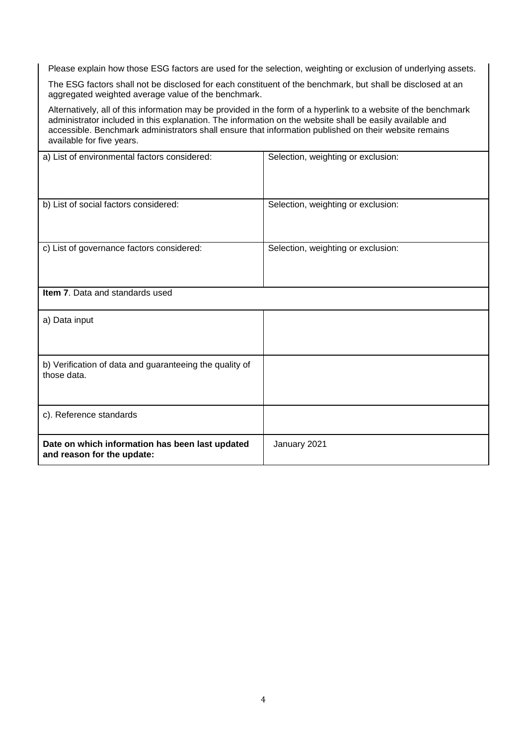Please explain how those ESG factors are used for the selection, weighting or exclusion of underlying assets.

The ESG factors shall not be disclosed for each constituent of the benchmark, but shall be disclosed at an aggregated weighted average value of the benchmark.

Alternatively, all of this information may be provided in the form of a hyperlink to a website of the benchmark administrator included in this explanation. The information on the website shall be easily available and accessible. Benchmark administrators shall ensure that information published on their website remains available for five years.

| a) List of environmental factors considered:                                  | Selection, weighting or exclusion: |
|-------------------------------------------------------------------------------|------------------------------------|
| b) List of social factors considered:                                         | Selection, weighting or exclusion: |
| c) List of governance factors considered:                                     | Selection, weighting or exclusion: |
| Item 7. Data and standards used                                               |                                    |
| a) Data input                                                                 |                                    |
| b) Verification of data and guaranteeing the quality of<br>those data.        |                                    |
| c). Reference standards                                                       |                                    |
| Date on which information has been last updated<br>and reason for the update: | January 2021                       |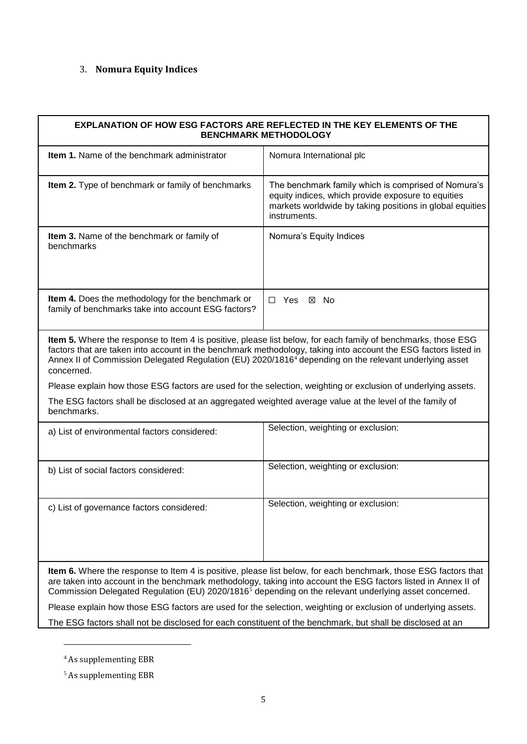## 3. **Nomura Equity Indices**

| <b>EXPLANATION OF HOW ESG FACTORS ARE REFLECTED IN THE KEY ELEMENTS OF THE</b><br><b>BENCHMARK METHODOLOGY</b>                                                                                                                                                                                                                                                                                                                                                                        |                                                                                                                                                                                       |  |
|---------------------------------------------------------------------------------------------------------------------------------------------------------------------------------------------------------------------------------------------------------------------------------------------------------------------------------------------------------------------------------------------------------------------------------------------------------------------------------------|---------------------------------------------------------------------------------------------------------------------------------------------------------------------------------------|--|
| <b>Item 1.</b> Name of the benchmark administrator                                                                                                                                                                                                                                                                                                                                                                                                                                    | Nomura International plc                                                                                                                                                              |  |
| Item 2. Type of benchmark or family of benchmarks                                                                                                                                                                                                                                                                                                                                                                                                                                     | The benchmark family which is comprised of Nomura's<br>equity indices, which provide exposure to equities<br>markets worldwide by taking positions in global equities<br>instruments. |  |
| Item 3. Name of the benchmark or family of<br>benchmarks                                                                                                                                                                                                                                                                                                                                                                                                                              | Nomura's Equity Indices                                                                                                                                                               |  |
| Item 4. Does the methodology for the benchmark or<br>family of benchmarks take into account ESG factors?                                                                                                                                                                                                                                                                                                                                                                              | $\Box$ Yes<br>⊠ No                                                                                                                                                                    |  |
| Item 5. Where the response to Item 4 is positive, please list below, for each family of benchmarks, those ESG<br>factors that are taken into account in the benchmark methodology, taking into account the ESG factors listed in<br>Annex II of Commission Delegated Regulation (EU) 2020/1816 <sup>4</sup> depending on the relevant underlying asset<br>concerned.<br>Please explain how those ESG factors are used for the selection, weighting or exclusion of underlying assets. |                                                                                                                                                                                       |  |
| The ESG factors shall be disclosed at an aggregated weighted average value at the level of the family of<br>benchmarks.                                                                                                                                                                                                                                                                                                                                                               |                                                                                                                                                                                       |  |
| a) List of environmental factors considered:                                                                                                                                                                                                                                                                                                                                                                                                                                          | Selection, weighting or exclusion:                                                                                                                                                    |  |
| b) List of social factors considered:                                                                                                                                                                                                                                                                                                                                                                                                                                                 | Selection, weighting or exclusion:                                                                                                                                                    |  |
| c) List of governance factors considered:                                                                                                                                                                                                                                                                                                                                                                                                                                             | Selection, weighting or exclusion:                                                                                                                                                    |  |
| Item 6. Where the response to Item 4 is positive, please list below, for each benchmark, those ESG factors that<br>are taken into account in the benchmark methodology, taking into account the ESG factors listed in Annex II of<br>Commission Delegated Regulation (EU) 2020/1816 <sup>5</sup> depending on the relevant underlying asset concerned.                                                                                                                                |                                                                                                                                                                                       |  |
| Please explain how those ESG factors are used for the selection, weighting or exclusion of underlying assets.                                                                                                                                                                                                                                                                                                                                                                         |                                                                                                                                                                                       |  |
| The ESG factors shall not be disclosed for each constituent of the benchmark, but shall be disclosed at an                                                                                                                                                                                                                                                                                                                                                                            |                                                                                                                                                                                       |  |

<u>.</u>

 $^4$  As supplementing EBR  $\,$ 

 $^{\rm 5}$  As supplementing EBR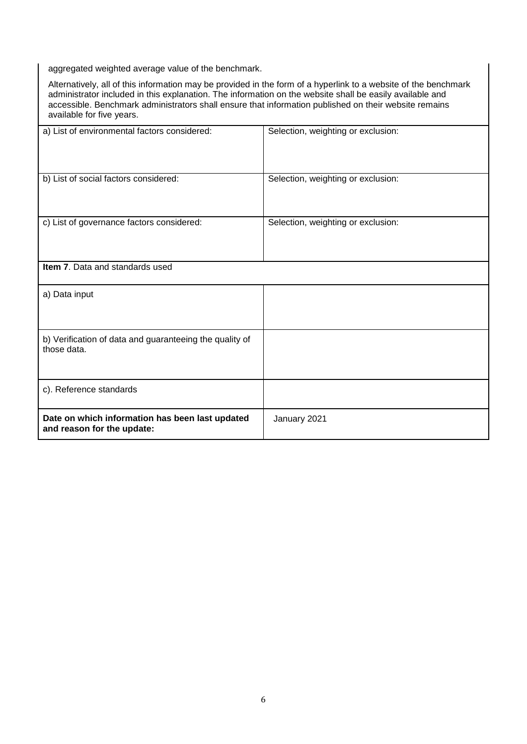aggregated weighted average value of the benchmark.

Alternatively, all of this information may be provided in the form of a hyperlink to a website of the benchmark administrator included in this explanation. The information on the website shall be easily available and accessible. Benchmark administrators shall ensure that information published on their website remains available for five years.

| a) List of environmental factors considered:                                  | Selection, weighting or exclusion: |
|-------------------------------------------------------------------------------|------------------------------------|
| b) List of social factors considered:                                         | Selection, weighting or exclusion: |
| c) List of governance factors considered:                                     | Selection, weighting or exclusion: |
| <b>Item 7.</b> Data and standards used                                        |                                    |
| a) Data input                                                                 |                                    |
| b) Verification of data and guaranteeing the quality of<br>those data.        |                                    |
| c). Reference standards                                                       |                                    |
| Date on which information has been last updated<br>and reason for the update: | January 2021                       |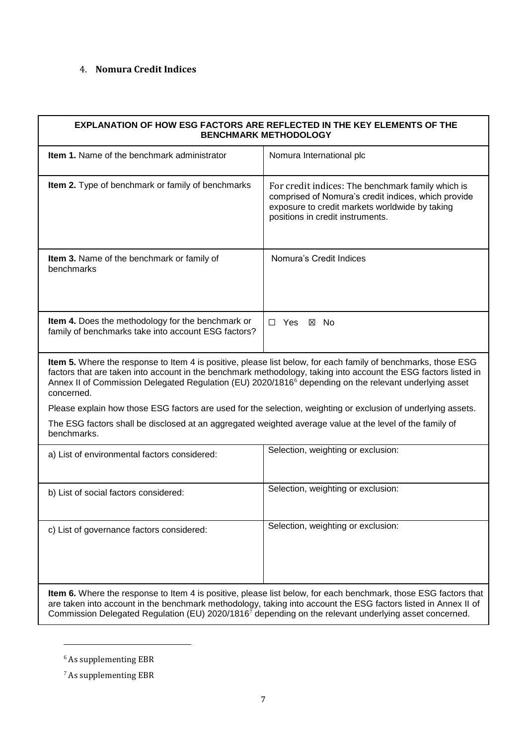### 4. **Nomura Credit Indices**

| EXPLANATION OF HOW ESG FACTORS ARE REFLECTED IN THE KEY ELEMENTS OF THE<br><b>BENCHMARK METHODOLOGY</b>                                                                                                                                                                                                                                                              |                                                                                                                                                                                                |  |
|----------------------------------------------------------------------------------------------------------------------------------------------------------------------------------------------------------------------------------------------------------------------------------------------------------------------------------------------------------------------|------------------------------------------------------------------------------------------------------------------------------------------------------------------------------------------------|--|
| <b>Item 1.</b> Name of the benchmark administrator                                                                                                                                                                                                                                                                                                                   | Nomura International plc                                                                                                                                                                       |  |
| <b>Item 2.</b> Type of benchmark or family of benchmarks                                                                                                                                                                                                                                                                                                             | For credit indices: The benchmark family which is<br>comprised of Nomura's credit indices, which provide<br>exposure to credit markets worldwide by taking<br>positions in credit instruments. |  |
| Item 3. Name of the benchmark or family of<br>benchmarks                                                                                                                                                                                                                                                                                                             | Nomura's Credit Indices                                                                                                                                                                        |  |
| Item 4. Does the methodology for the benchmark or<br>family of benchmarks take into account ESG factors?                                                                                                                                                                                                                                                             | $\Box$ Yes<br>⊠ No                                                                                                                                                                             |  |
| Item 5. Where the response to Item 4 is positive, please list below, for each family of benchmarks, those ESG<br>factors that are taken into account in the benchmark methodology, taking into account the ESG factors listed in<br>Annex II of Commission Delegated Regulation (EU) 2020/1816 <sup>6</sup> depending on the relevant underlying asset<br>concerned. |                                                                                                                                                                                                |  |
|                                                                                                                                                                                                                                                                                                                                                                      | Please explain how those ESG factors are used for the selection, weighting or exclusion of underlying assets.                                                                                  |  |
| The ESG factors shall be disclosed at an aggregated weighted average value at the level of the family of<br>benchmarks.                                                                                                                                                                                                                                              |                                                                                                                                                                                                |  |
| a) List of environmental factors considered:                                                                                                                                                                                                                                                                                                                         | Selection, weighting or exclusion:                                                                                                                                                             |  |
| b) List of social factors considered:                                                                                                                                                                                                                                                                                                                                | Selection, weighting or exclusion:                                                                                                                                                             |  |
| c) List of governance factors considered:                                                                                                                                                                                                                                                                                                                            | Selection, weighting or exclusion:                                                                                                                                                             |  |
| Item 6. Where the response to Item 4 is positive, please list below, for each benchmark, those ESG factors that<br>are taken into account in the benchmark methodology, taking into account the ESG factors listed in Annex II of<br>Commission Delegated Regulation (EU) 2020/1816 <sup>7</sup> depending on the relevant underlying asset concerned.               |                                                                                                                                                                                                |  |

<u>.</u>

 $^{\rm 6}$  As supplementing EBR

 $^7$  As supplementing EBR